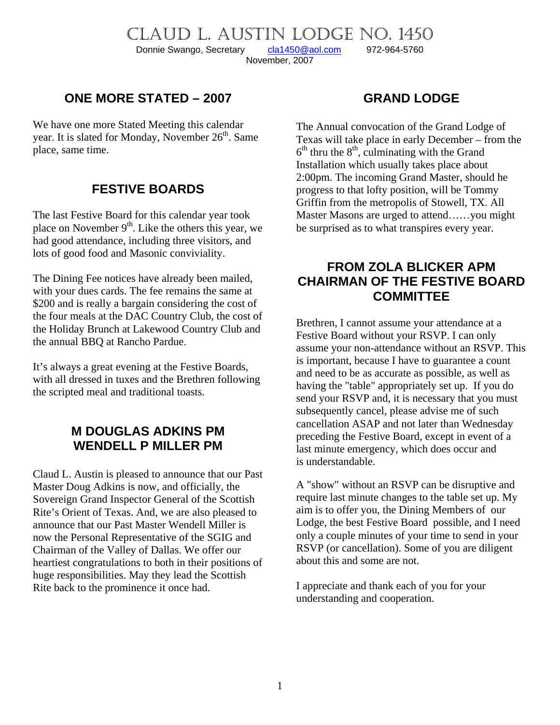# CLAUD L. AUSTIN LODGE NO. 1450

Donnie Swango, Secretary [cla1450@aol.com](mailto:cla1450@aol.com) 972-964-5760 November, 2007

### **ONE MORE STATED – 2007**

We have one more Stated Meeting this calendar year. It is slated for Monday, November  $26<sup>th</sup>$ . Same place, same time.

### **FESTIVE BOARDS**

The last Festive Board for this calendar year took place on November  $9<sup>th</sup>$ . Like the others this year, we had good attendance, including three visitors, and lots of good food and Masonic conviviality.

The Dining Fee notices have already been mailed, with your dues cards. The fee remains the same at \$200 and is really a bargain considering the cost of the four meals at the DAC Country Club, the cost of the Holiday Brunch at Lakewood Country Club and the annual BBQ at Rancho Pardue.

It's always a great evening at the Festive Boards, with all dressed in tuxes and the Brethren following the scripted meal and traditional toasts.

## **M DOUGLAS ADKINS PM WENDELL P MILLER PM**

Claud L. Austin is pleased to announce that our Past Master Doug Adkins is now, and officially, the Sovereign Grand Inspector General of the Scottish Rite's Orient of Texas. And, we are also pleased to announce that our Past Master Wendell Miller is now the Personal Representative of the SGIG and Chairman of the Valley of Dallas. We offer our heartiest congratulations to both in their positions of huge responsibilities. May they lead the Scottish Rite back to the prominence it once had.

## **GRAND LODGE**

The Annual convocation of the Grand Lodge of Texas will take place in early December – from the  $6<sup>th</sup>$  thru the  $8<sup>th</sup>$ , culminating with the Grand Installation which usually takes place about 2:00pm. The incoming Grand Master, should he progress to that lofty position, will be Tommy Griffin from the metropolis of Stowell, TX. All Master Masons are urged to attend……you might be surprised as to what transpires every year.

## **FROM ZOLA BLICKER APM CHAIRMAN OF THE FESTIVE BOARD COMMITTEE**

Brethren, I cannot assume your attendance at a Festive Board without your RSVP. I can only assume your non-attendance without an RSVP. This is important, because I have to guarantee a count and need to be as accurate as possible, as well as having the "table" appropriately set up. If you do send your RSVP and, it is necessary that you must subsequently cancel, please advise me of such cancellation ASAP and not later than Wednesday preceding the Festive Board, except in event of a last minute emergency, which does occur and is understandable.

A "show" without an RSVP can be disruptive and require last minute changes to the table set up. My aim is to offer you, the Dining Members of our Lodge, the best Festive Board possible, and I need only a couple minutes of your time to send in your RSVP (or cancellation). Some of you are diligent about this and some are not.

I appreciate and thank each of you for your understanding and cooperation.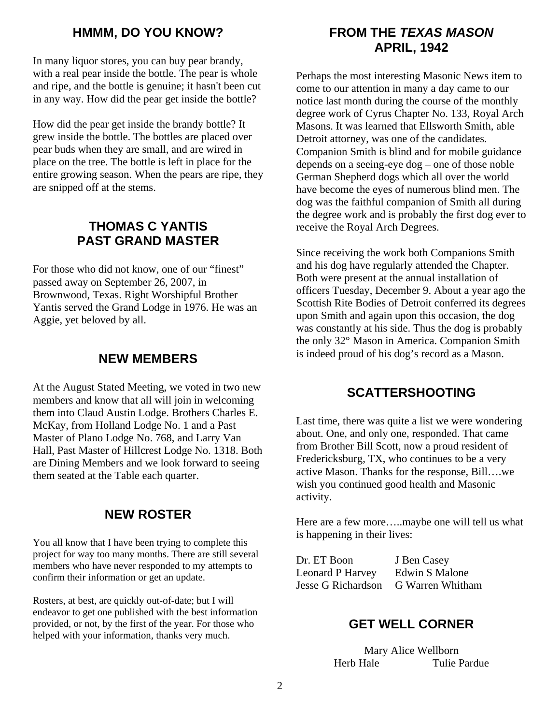#### **HMMM, DO YOU KNOW?**

In many liquor stores, you can buy pear brandy, with a real pear inside the bottle. The pear is whole and ripe, and the bottle is genuine; it hasn't been cut in any way. How did the pear get inside the bottle?

How did the pear get inside the brandy bottle? It grew inside the bottle. The bottles are placed over pear buds when they are small, and are wired in place on the tree. The bottle is left in place for the entire growing season. When the pears are ripe, they are snipped off at the stems.

## **THOMAS C YANTIS PAST GRAND MASTER**

For those who did not know, one of our "finest" passed away on September 26, 2007, in Brownwood, Texas. Right Worshipful Brother Yantis served the Grand Lodge in 1976. He was an Aggie, yet beloved by all.

#### **NEW MEMBERS**

At the August Stated Meeting, we voted in two new members and know that all will join in welcoming them into Claud Austin Lodge. Brothers Charles E. McKay, from Holland Lodge No. 1 and a Past Master of Plano Lodge No. 768, and Larry Van Hall, Past Master of Hillcrest Lodge No. 1318. Both are Dining Members and we look forward to seeing them seated at the Table each quarter.

## **NEW ROSTER**

You all know that I have been trying to complete this project for way too many months. There are still several members who have never responded to my attempts to confirm their information or get an update.

Rosters, at best, are quickly out-of-date; but I will endeavor to get one published with the best information provided, or not, by the first of the year. For those who helped with your information, thanks very much.

## **FROM THE** *TEXAS MASON* **APRIL, 1942**

Perhaps the most interesting Masonic News item to come to our attention in many a day came to our notice last month during the course of the monthly degree work of Cyrus Chapter No. 133, Royal Arch Masons. It was learned that Ellsworth Smith, able Detroit attorney, was one of the candidates. Companion Smith is blind and for mobile guidance depends on a seeing-eye dog – one of those noble German Shepherd dogs which all over the world have become the eyes of numerous blind men. The dog was the faithful companion of Smith all during the degree work and is probably the first dog ever to receive the Royal Arch Degrees.

Since receiving the work both Companions Smith and his dog have regularly attended the Chapter. Both were present at the annual installation of officers Tuesday, December 9. About a year ago the Scottish Rite Bodies of Detroit conferred its degrees upon Smith and again upon this occasion, the dog was constantly at his side. Thus the dog is probably the only 32° Mason in America. Companion Smith is indeed proud of his dog's record as a Mason.

#### **SCATTERSHOOTING**

Last time, there was quite a list we were wondering about. One, and only one, responded. That came from Brother Bill Scott, now a proud resident of Fredericksburg, TX, who continues to be a very active Mason. Thanks for the response, Bill….we wish you continued good health and Masonic activity.

Here are a few more…..maybe one will tell us what is happening in their lives:

| Dr. ET Boon             | J Ben Casey      |
|-------------------------|------------------|
| <b>Leonard P Harvey</b> | Edwin S Malone   |
| Jesse G Richardson      | G Warren Whitham |

#### **GET WELL CORNER**

Mary Alice Wellborn Herb Hale Tulie Pardue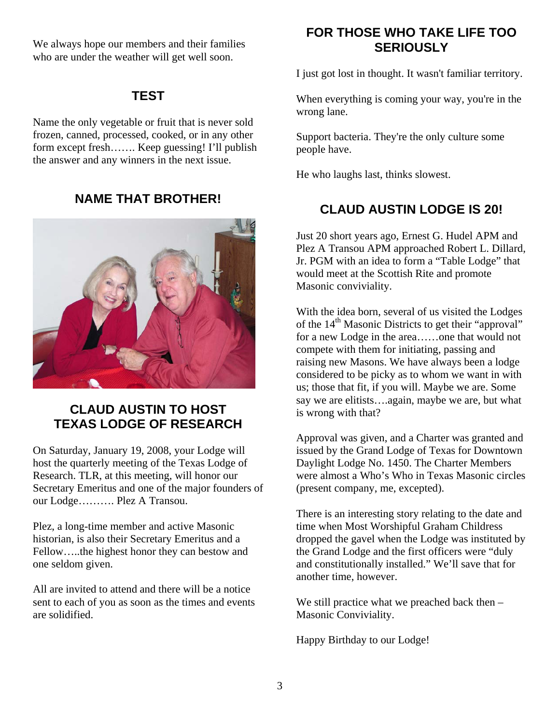We always hope our members and their families who are under the weather will get well soon.

## **TEST**

Name the only vegetable or fruit that is never sold frozen, canned, processed, cooked, or in any other form except fresh……. Keep guessing! I'll publish the answer and any winners in the next issue.

## **NAME THAT BROTHER!**



## **CLAUD AUSTIN TO HOST TE H XAS LODGE OF RESEARC**

On Saturday, January 19, 2008, your Lodge will Secretary Emeritus and one of the major founders of host the quarterly meeting of the Texas Lodge of Research. TLR, at this meeting, will honor our our Lodge………. Plez A Transou.

Plez, a long-time member and active Masonic historian, is also their Secretary Emeritus and a Fellow…..the highest honor they can bestow and one seldom given.

All are invited to attend and there will be a notice sent to each of you as soon as the times and events are solidified.

## **FOR THOSE WHO TAKE LIFE TOO SERIOUSLY**

I just got lost in thought. It wasn't familiar territory.

When everything is coming your way, you're in the wrong lane.

Support bacteria. They're the only culture some people have.

He who laughs last, thinks slowest.

## **CLAUD AUSTIN LODGE IS 20!**

Just 20 short years ago, Ernest G. Hudel APM and , Plez A Transou APM approached Robert L. Dillard Jr. PGM with an idea to form a "Table Lodge" that would meet at the Scottish Rite and promote Masonic conviviality.

With the idea born, several of us visited the Lodges raising new Masons. We have always been a lodge of the 14<sup>th</sup> Masonic Districts to get their "approval" for a new Lodge in the area……one that would not compete with them for initiating, passing and considered to be picky as to whom we want in with us; those that fit, if you will. Maybe we are. Some say we are elitists….again, maybe we are, but what is wrong with that?

Approval was given, and a Charter was granted and were almost a Who's Who in Texas Masonic circles issued by the Grand Lodge of Texas for Downtown Daylight Lodge No. 1450. The Charter Members (present company, me, excepted).

There is an interesting story relating to the date and dropped the gavel when the Lodge was instituted by time when Most Worshipful Graham Childress the Grand Lodge and the first officers were "duly and constitutionally installed." We'll save that for another time, however.

We still practice what we preached back then  $-$ Masonic Conviviality.

Happy Birthday to our Lodge!